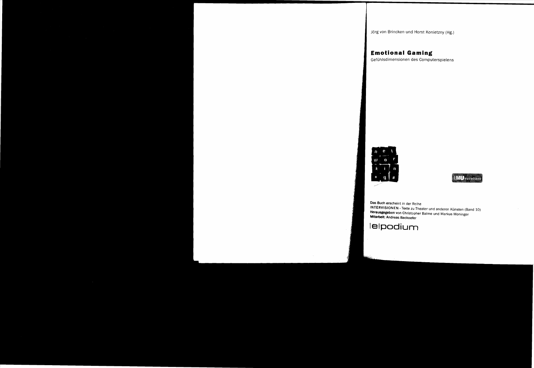Jörg von Brincken und Horst Konietzny (Hg.)

# **Emotional Gaming**

Gefuhlsdimensionen des Computerspielens



**MUANCTER** 

**Das Buch** erscheint in der Reihe **INTERVISIONEN** - Texte zu Theater und anderen Künsten (Band 10) **Herausgegeben** von Christopher Balme und Markus Moninger **Mitarbeit: Andreas** Backoefer

**lelpodium**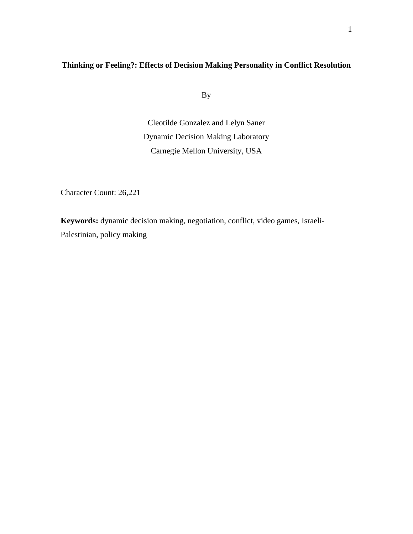## **Thinking or Feeling?: Effects of Decision Making Personality in Conflict Resolution**

By

Cleotilde Gonzalez and Lelyn Saner Dynamic Decision Making Laboratory Carnegie Mellon University, USA

Character Count: 26,221

**Keywords:** dynamic decision making, negotiation, conflict, video games, Israeli-Palestinian, policy making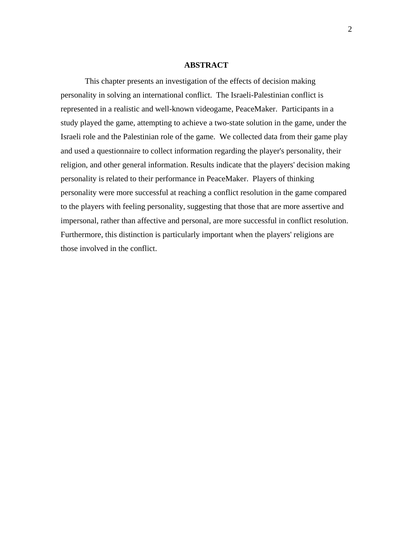#### **ABSTRACT**

This chapter presents an investigation of the effects of decision making personality in solving an international conflict. The Israeli-Palestinian conflict is represented in a realistic and well-known videogame, PeaceMaker. Participants in a study played the game, attempting to achieve a two-state solution in the game, under the Israeli role and the Palestinian role of the game. We collected data from their game play and used a questionnaire to collect information regarding the player's personality, their religion, and other general information. Results indicate that the players' decision making personality is related to their performance in PeaceMaker. Players of thinking personality were more successful at reaching a conflict resolution in the game compared to the players with feeling personality, suggesting that those that are more assertive and impersonal, rather than affective and personal, are more successful in conflict resolution. Furthermore, this distinction is particularly important when the players' religions are those involved in the conflict.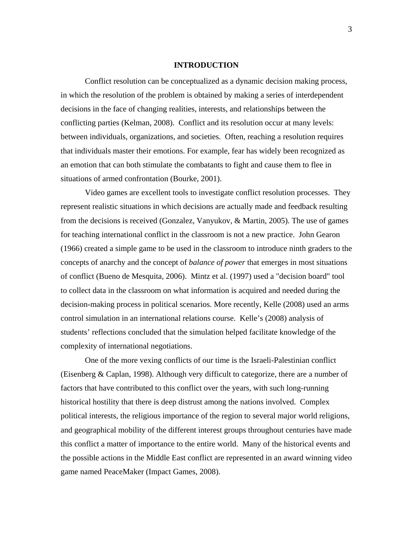#### **INTRODUCTION**

Conflict resolution can be conceptualized as a dynamic decision making process, in which the resolution of the problem is obtained by making a series of interdependent decisions in the face of changing realities, interests, and relationships between the conflicting parties (Kelman, 2008). Conflict and its resolution occur at many levels: between individuals, organizations, and societies. Often, reaching a resolution requires that individuals master their emotions. For example, fear has widely been recognized as an emotion that can both stimulate the combatants to fight and cause them to flee in situations of armed confrontation (Bourke, 2001).

Video games are excellent tools to investigate conflict resolution processes. They represent realistic situations in which decisions are actually made and feedback resulting from the decisions is received (Gonzalez, Vanyukov, & Martin, 2005). The use of games for teaching international conflict in the classroom is not a new practice. John Gearon (1966) created a simple game to be used in the classroom to introduce ninth graders to the concepts of anarchy and the concept of *balance of power* that emerges in most situations of conflict (Bueno de Mesquita, 2006). Mintz et al. (1997) used a "decision board" tool to collect data in the classroom on what information is acquired and needed during the decision-making process in political scenarios. More recently, Kelle (2008) used an arms control simulation in an international relations course. Kelle's (2008) analysis of students' reflections concluded that the simulation helped facilitate knowledge of the complexity of international negotiations.

One of the more vexing conflicts of our time is the Israeli-Palestinian conflict (Eisenberg & Caplan, 1998). Although very difficult to categorize, there are a number of factors that have contributed to this conflict over the years, with such long-running historical hostility that there is deep distrust among the nations involved. Complex political interests, the religious importance of the region to several major world religions, and geographical mobility of the different interest groups throughout centuries have made this conflict a matter of importance to the entire world. Many of the historical events and the possible actions in the Middle East conflict are represented in an award winning video game named PeaceMaker (Impact Games, 2008).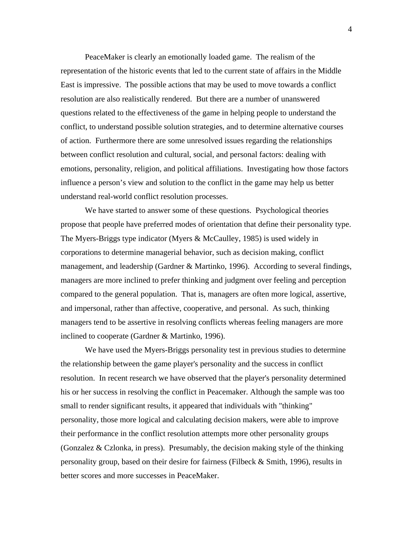PeaceMaker is clearly an emotionally loaded game. The realism of the representation of the historic events that led to the current state of affairs in the Middle East is impressive. The possible actions that may be used to move towards a conflict resolution are also realistically rendered. But there are a number of unanswered questions related to the effectiveness of the game in helping people to understand the conflict, to understand possible solution strategies, and to determine alternative courses of action. Furthermore there are some unresolved issues regarding the relationships between conflict resolution and cultural, social, and personal factors: dealing with emotions, personality, religion, and political affiliations. Investigating how those factors influence a person's view and solution to the conflict in the game may help us better understand real-world conflict resolution processes.

We have started to answer some of these questions. Psychological theories propose that people have preferred modes of orientation that define their personality type. The Myers-Briggs type indicator (Myers & McCaulley, 1985) is used widely in corporations to determine managerial behavior, such as decision making, conflict management, and leadership (Gardner & Martinko, 1996). According to several findings, managers are more inclined to prefer thinking and judgment over feeling and perception compared to the general population. That is, managers are often more logical, assertive, and impersonal, rather than affective, cooperative, and personal. As such, thinking managers tend to be assertive in resolving conflicts whereas feeling managers are more inclined to cooperate (Gardner & Martinko, 1996).

We have used the Myers-Briggs personality test in previous studies to determine the relationship between the game player's personality and the success in conflict resolution. In recent research we have observed that the player's personality determined his or her success in resolving the conflict in Peacemaker. Although the sample was too small to render significant results, it appeared that individuals with "thinking" personality, those more logical and calculating decision makers, were able to improve their performance in the conflict resolution attempts more other personality groups (Gonzalez & Czlonka, in press). Presumably, the decision making style of the thinking personality group, based on their desire for fairness (Filbeck & Smith, 1996), results in better scores and more successes in PeaceMaker.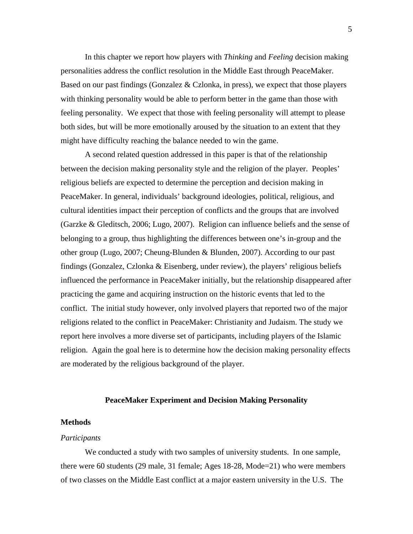In this chapter we report how players with *Thinking* and *Feeling* decision making personalities address the conflict resolution in the Middle East through PeaceMaker. Based on our past findings (Gonzalez  $&$  Czlonka, in press), we expect that those players with thinking personality would be able to perform better in the game than those with feeling personality. We expect that those with feeling personality will attempt to please both sides, but will be more emotionally aroused by the situation to an extent that they might have difficulty reaching the balance needed to win the game.

A second related question addressed in this paper is that of the relationship between the decision making personality style and the religion of the player. Peoples' religious beliefs are expected to determine the perception and decision making in PeaceMaker. In general, individuals' background ideologies, political, religious, and cultural identities impact their perception of conflicts and the groups that are involved (Garzke & Gleditsch, 2006; Lugo, 2007). Religion can influence beliefs and the sense of belonging to a group, thus highlighting the differences between one's in-group and the other group (Lugo, 2007; Cheung-Blunden & Blunden, 2007). According to our past findings (Gonzalez, Czlonka & Eisenberg, under review), the players' religious beliefs influenced the performance in PeaceMaker initially, but the relationship disappeared after practicing the game and acquiring instruction on the historic events that led to the conflict. The initial study however, only involved players that reported two of the major religions related to the conflict in PeaceMaker: Christianity and Judaism. The study we report here involves a more diverse set of participants, including players of the Islamic religion. Again the goal here is to determine how the decision making personality effects are moderated by the religious background of the player.

## **PeaceMaker Experiment and Decision Making Personality**

## **Methods**

## *Participants*

We conducted a study with two samples of university students. In one sample, there were 60 students (29 male, 31 female; Ages 18-28, Mode=21) who were members of two classes on the Middle East conflict at a major eastern university in the U.S. The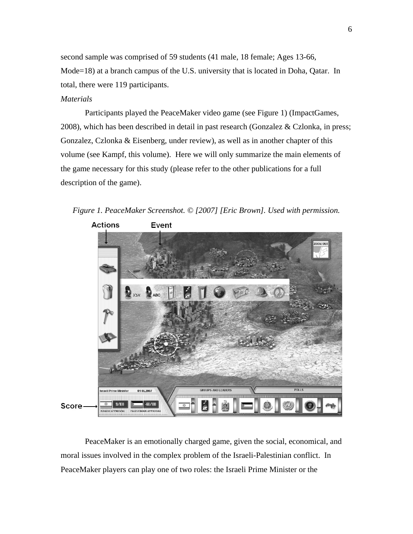second sample was comprised of 59 students (41 male, 18 female; Ages 13-66, Mode=18) at a branch campus of the U.S. university that is located in Doha, Qatar. In total, there were 119 participants.

## *Materials*

Participants played the PeaceMaker video game (see Figure 1) (ImpactGames, 2008), which has been described in detail in past research (Gonzalez & Czlonka, in press; Gonzalez, Czlonka & Eisenberg, under review), as well as in another chapter of this volume (see Kampf, this volume). Here we will only summarize the main elements of the game necessary for this study (please refer to the other publications for a full description of the game).

*Figure 1. PeaceMaker Screenshot. © [2007] [Eric Brown]. Used with permission.* 



PeaceMaker is an emotionally charged game, given the social, economical, and moral issues involved in the complex problem of the Israeli-Palestinian conflict. In PeaceMaker players can play one of two roles: the Israeli Prime Minister or the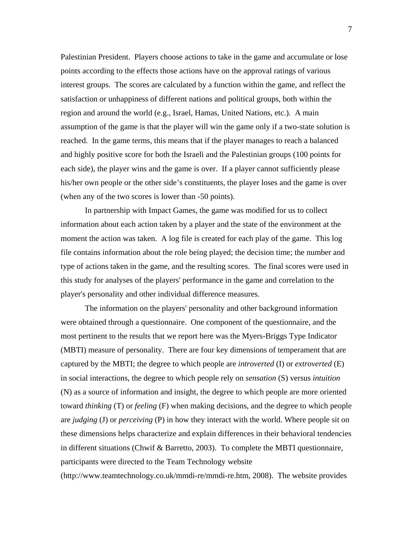Palestinian President. Players choose actions to take in the game and accumulate or lose points according to the effects those actions have on the approval ratings of various interest groups. The scores are calculated by a function within the game, and reflect the satisfaction or unhappiness of different nations and political groups, both within the region and around the world (e.g., Israel, Hamas, United Nations, etc.). A main assumption of the game is that the player will win the game only if a two-state solution is reached. In the game terms, this means that if the player manages to reach a balanced and highly positive score for both the Israeli and the Palestinian groups (100 points for each side), the player wins and the game is over. If a player cannot sufficiently please his/her own people or the other side's constituents, the player loses and the game is over (when any of the two scores is lower than -50 points).

In partnership with Impact Games, the game was modified for us to collect information about each action taken by a player and the state of the environment at the moment the action was taken. A log file is created for each play of the game. This log file contains information about the role being played; the decision time; the number and type of actions taken in the game, and the resulting scores. The final scores were used in this study for analyses of the players' performance in the game and correlation to the player's personality and other individual difference measures.

The information on the players' personality and other background information were obtained through a questionnaire. One component of the questionnaire, and the most pertinent to the results that we report here was the Myers-Briggs Type Indicator (MBTI) measure of personality. There are four key dimensions of temperament that are captured by the MBTI; the degree to which people are *introverted* (I) or *extroverted* (E) in social interactions, the degree to which people rely on *sensation* (S) versus *intuition* (N) as a source of information and insight, the degree to which people are more oriented toward *thinking* (T) or *feeling* (F) when making decisions, and the degree to which people are *judging* (J) or *perceiving* (P) in how they interact with the world. Where people sit on these dimensions helps characterize and explain differences in their behavioral tendencies in different situations (Chwif & Barretto, 2003). To complete the MBTI questionnaire, participants were directed to the Team Technology website

(http://www.teamtechnology.co.uk/mmdi-re/mmdi-re.htm, 2008). The website provides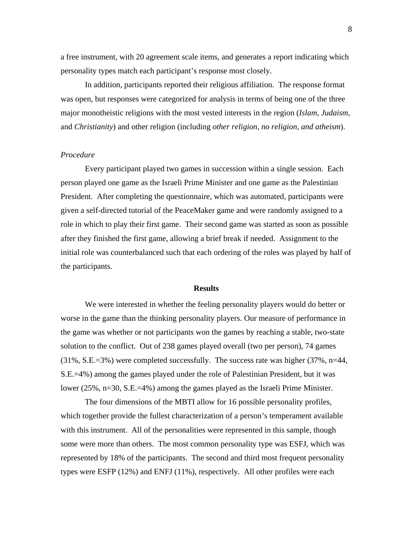a free instrument, with 20 agreement scale items, and generates a report indicating which personality types match each participant's response most closely.

In addition, participants reported their religious affiliation. The response format was open, but responses were categorized for analysis in terms of being one of the three major monotheistic religions with the most vested interests in the region (*Islam*, *Judaism*, and *Christianity*) and other religion (including *other religion*, *no religion, and atheism*).

#### *Procedure*

Every participant played two games in succession within a single session. Each person played one game as the Israeli Prime Minister and one game as the Palestinian President. After completing the questionnaire, which was automated, participants were given a self-directed tutorial of the PeaceMaker game and were randomly assigned to a role in which to play their first game. Their second game was started as soon as possible after they finished the first game, allowing a brief break if needed. Assignment to the initial role was counterbalanced such that each ordering of the roles was played by half of the participants.

#### **Results**

We were interested in whether the feeling personality players would do better or worse in the game than the thinking personality players. Our measure of performance in the game was whether or not participants won the games by reaching a stable, two-state solution to the conflict. Out of 238 games played overall (two per person), 74 games (31%, S.E.=3%) were completed successfully. The success rate was higher (37%, n=44, S.E.=4%) among the games played under the role of Palestinian President, but it was lower (25%, n=30, S.E.=4%) among the games played as the Israeli Prime Minister.

The four dimensions of the MBTI allow for 16 possible personality profiles, which together provide the fullest characterization of a person's temperament available with this instrument. All of the personalities were represented in this sample, though some were more than others. The most common personality type was ESFJ, which was represented by 18% of the participants. The second and third most frequent personality types were ESFP (12%) and ENFJ (11%), respectively. All other profiles were each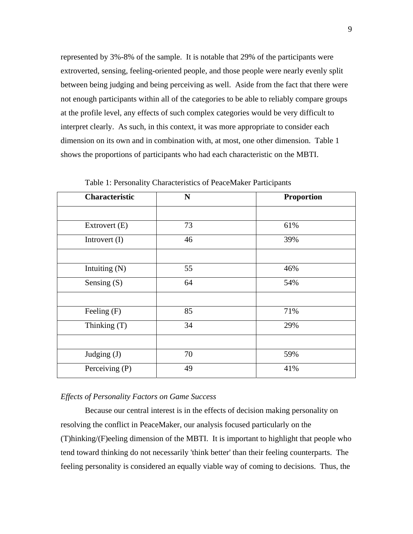represented by 3%-8% of the sample. It is notable that 29% of the participants were extroverted, sensing, feeling-oriented people, and those people were nearly evenly split between being judging and being perceiving as well. Aside from the fact that there were not enough participants within all of the categories to be able to reliably compare groups at the profile level, any effects of such complex categories would be very difficult to interpret clearly. As such, in this context, it was more appropriate to consider each dimension on its own and in combination with, at most, one other dimension. Table 1 shows the proportions of participants who had each characteristic on the MBTI.

| <b>Characteristic</b> | $\mathbf N$ | <b>Proportion</b> |
|-----------------------|-------------|-------------------|
|                       |             |                   |
| Extrovert (E)         | 73          | 61%               |
| Introvert $(I)$       | 46          | 39%               |
|                       |             |                   |
| Intuiting (N)         | 55          | 46%               |
| Sensing (S)           | 64          | 54%               |
|                       |             |                   |
| Feeling $(F)$         | 85          | 71%               |
| Thinking (T)          | 34          | 29%               |
|                       |             |                   |
| Judging (J)           | 70          | 59%               |
| Perceiving (P)        | 49          | 41%               |

Table 1: Personality Characteristics of PeaceMaker Participants

### *Effects of Personality Factors on Game Success*

Because our central interest is in the effects of decision making personality on resolving the conflict in PeaceMaker, our analysis focused particularly on the (T)hinking/(F)eeling dimension of the MBTI. It is important to highlight that people who tend toward thinking do not necessarily 'think better' than their feeling counterparts. The feeling personality is considered an equally viable way of coming to decisions. Thus, the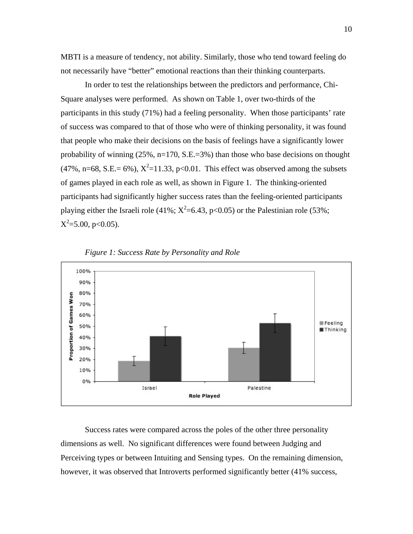MBTI is a measure of tendency, not ability. Similarly, those who tend toward feeling do not necessarily have "better" emotional reactions than their thinking counterparts.

In order to test the relationships between the predictors and performance, Chi-Square analyses were performed. As shown on Table 1, over two-thirds of the participants in this study (71%) had a feeling personality. When those participants' rate of success was compared to that of those who were of thinking personality, it was found that people who make their decisions on the basis of feelings have a significantly lower probability of winning (25%, n=170, S.E.=3%) than those who base decisions on thought  $(47\%, n=68, S.E.= 6\%), X^2=11.33, p<0.01$ . This effect was observed among the subsets of games played in each role as well, as shown in Figure 1. The thinking-oriented participants had significantly higher success rates than the feeling-oriented participants playing either the Israeli role (41%;  $X^2$ =6.43, p<0.05) or the Palestinian role (53%;  $X^2$ =5.00, p<0.05).





Success rates were compared across the poles of the other three personality dimensions as well. No significant differences were found between Judging and Perceiving types or between Intuiting and Sensing types. On the remaining dimension, however, it was observed that Introverts performed significantly better (41% success,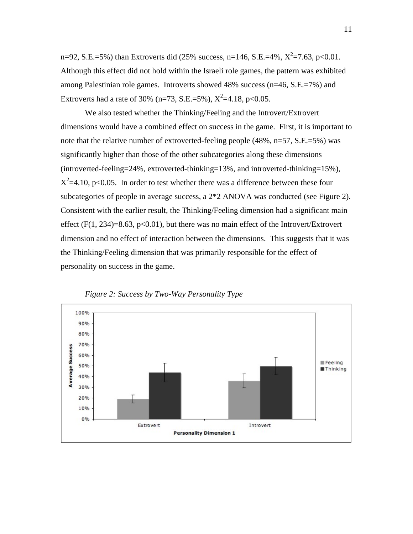n=92, S.E.=5%) than Extroverts did (25% success, n=146, S.E.=4%,  $X^2$ =7.63, p<0.01. Although this effect did not hold within the Israeli role games, the pattern was exhibited among Palestinian role games. Introverts showed 48% success (n=46, S.E.=7%) and Extroverts had a rate of 30% (n=73, S.E.=5%),  $X^2$ =4.18, p<0.05.

We also tested whether the Thinking/Feeling and the Introvert/Extrovert dimensions would have a combined effect on success in the game. First, it is important to note that the relative number of extroverted-feeling people (48%, n=57, S.E.=5%) was significantly higher than those of the other subcategories along these dimensions (introverted-feeling=24%, extroverted-thinking=13%, and introverted-thinking=15%),  $X^2$ =4.10, p<0.05. In order to test whether there was a difference between these four subcategories of people in average success, a 2\*2 ANOVA was conducted (see Figure 2). Consistent with the earlier result, the Thinking/Feeling dimension had a significant main effect  $(F(1, 234)=8.63, p<0.01)$ , but there was no main effect of the Introvert/Extrovert dimension and no effect of interaction between the dimensions. This suggests that it was the Thinking/Feeling dimension that was primarily responsible for the effect of personality on success in the game.



*Figure 2: Success by Two-Way Personality Type*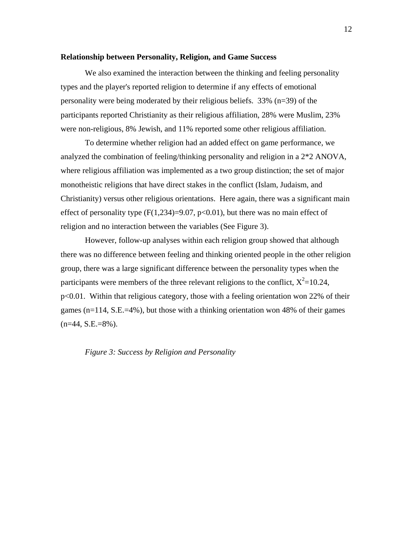#### **Relationship between Personality, Religion, and Game Success**

We also examined the interaction between the thinking and feeling personality types and the player's reported religion to determine if any effects of emotional personality were being moderated by their religious beliefs. 33% (n=39) of the participants reported Christianity as their religious affiliation, 28% were Muslim, 23% were non-religious, 8% Jewish, and 11% reported some other religious affiliation.

To determine whether religion had an added effect on game performance, we analyzed the combination of feeling/thinking personality and religion in a 2\*2 ANOVA, where religious affiliation was implemented as a two group distinction; the set of major monotheistic religions that have direct stakes in the conflict (Islam, Judaism, and Christianity) versus other religious orientations. Here again, there was a significant main effect of personality type  $(F(1,234)=9.07, p<0.01)$ , but there was no main effect of religion and no interaction between the variables (See Figure 3).

However, follow-up analyses within each religion group showed that although there was no difference between feeling and thinking oriented people in the other religion group, there was a large significant difference between the personality types when the participants were members of the three relevant religions to the conflict,  $X^2 = 10.24$ , p<0.01. Within that religious category, those with a feeling orientation won 22% of their games (n=114, S.E.=4%), but those with a thinking orientation won 48% of their games  $(n=44, S.E.=8\%)$ .

*Figure 3: Success by Religion and Personality*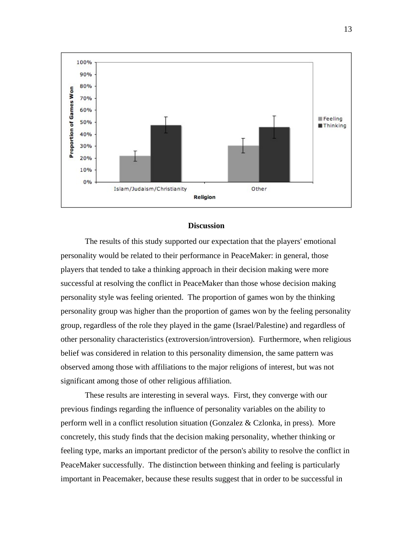

#### **Discussion**

The results of this study supported our expectation that the players' emotional personality would be related to their performance in PeaceMaker: in general, those players that tended to take a thinking approach in their decision making were more successful at resolving the conflict in PeaceMaker than those whose decision making personality style was feeling oriented. The proportion of games won by the thinking personality group was higher than the proportion of games won by the feeling personality group, regardless of the role they played in the game (Israel/Palestine) and regardless of other personality characteristics (extroversion/introversion). Furthermore, when religious belief was considered in relation to this personality dimension, the same pattern was observed among those with affiliations to the major religions of interest, but was not significant among those of other religious affiliation.

These results are interesting in several ways. First, they converge with our previous findings regarding the influence of personality variables on the ability to perform well in a conflict resolution situation (Gonzalez & Czlonka, in press). More concretely, this study finds that the decision making personality, whether thinking or feeling type, marks an important predictor of the person's ability to resolve the conflict in PeaceMaker successfully. The distinction between thinking and feeling is particularly important in Peacemaker, because these results suggest that in order to be successful in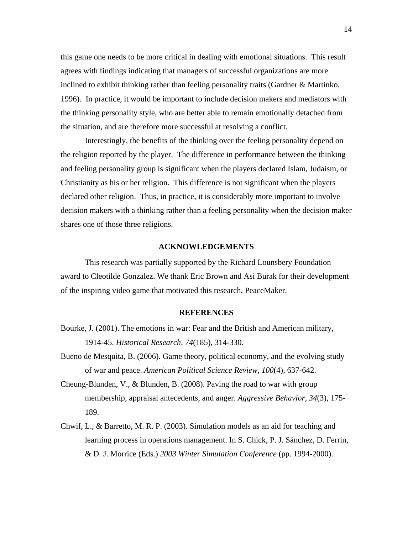this game one needs to be more critical in dealing with emotional situations. This result agrees with findings indicating that managers of successful organizations are more inclined to exhibit thinking rather than feeling personality traits (Gardner & Martinko, 1996). In practice, it would be important to include decision makers and mediators with the thinking personality style, who are better able to remain emotionally detached from the situation, and are therefore more successful at resolving a conflict.

Interestingly, the benefits of the thinking over the feeling personality depend on the religion reported by the player. The difference in performance between the thinking and feeling personality group is significant when the players declared Islam, Judaism, or Christianity as his or her religion. This difference is not significant when the players declared other religion. Thus, in practice, it is considerably more important to involve decision makers with a thinking rather than a feeling personality when the decision maker shares one of those three religions.

#### **ACKNOWLEDGEMENTS**

This research was partially supported by the Richard Lounsbery Foundation award to Cleotilde Gonzalez. We thank Eric Brown and Asi Burak for their development of the inspiring video game that motivated this research, PeaceMaker.

#### **REFERENCES**

- Bourke, J. (2001). The emotions in war: Fear and the British and American military, 1914-45. *Historical Research, 74*(185), 314-330.
- Bueno de Mesquita, B. (2006). Game theory, political economy, and the evolving study of war and peace. *American Political Science Review, 100*(4), 637-642.
- Cheung-Blunden, V.,  $\&$  Blunden, B. (2008). Paving the road to war with group membership, appraisal antecedents, and anger. *Aggressive Behavior, 34*(3), 175- 189.
- Chwif, L., & Barretto, M. R. P. (2003). Simulation models as an aid for teaching and learning process in operations management. In S. Chick, P. J. Sánchez, D. Ferrin, & D. J. Morrice (Eds.) *2003 Winter Simulation Conference* (pp. 1994-2000).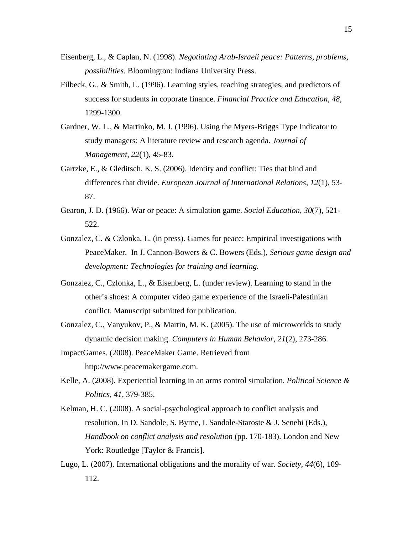- Eisenberg, L., & Caplan, N. (1998). *Negotiating Arab-Israeli peace: Patterns, problems, possibilities*. Bloomington: Indiana University Press.
- Filbeck, G., & Smith, L. (1996). Learning styles, teaching strategies, and predictors of success for students in coporate finance. *Financial Practice and Education, 48*, 1299-1300.
- Gardner, W. L., & Martinko, M. J. (1996). Using the Myers-Briggs Type Indicator to study managers: A literature review and research agenda. *Journal of Management, 22*(1), 45-83.
- Gartzke, E., & Gleditsch, K. S. (2006). Identity and conflict: Ties that bind and differences that divide. *European Journal of International Relations, 12*(1), 53- 87.
- Gearon, J. D. (1966). War or peace: A simulation game. *Social Education, 30*(7), 521- 522.
- Gonzalez, C. & Czlonka, L. (in press). Games for peace: Empirical investigations with PeaceMaker. In J. Cannon-Bowers & C. Bowers (Eds.), *Serious game design and development: Technologies for training and learning.*
- Gonzalez, C., Czlonka, L., & Eisenberg, L. (under review). Learning to stand in the other's shoes: A computer video game experience of the Israeli-Palestinian conflict. Manuscript submitted for publication.
- Gonzalez, C., Vanyukov, P., & Martin, M. K. (2005). The use of microworlds to study dynamic decision making. *Computers in Human Behavior, 21*(2), 273-286.
- ImpactGames. (2008). PeaceMaker Game. Retrieved from http://www.peacemakergame.com.
- Kelle, A. (2008). Experiential learning in an arms control simulation. *Political Science & Politics, 41*, 379-385.
- Kelman, H. C. (2008). A social-psychological approach to conflict analysis and resolution. In D. Sandole, S. Byrne, I. Sandole-Staroste & J. Senehi (Eds.), *Handbook on conflict analysis and resolution* (pp. 170-183). London and New York: Routledge [Taylor & Francis].
- Lugo, L. (2007). International obligations and the morality of war. *Society, 44*(6), 109- 112.